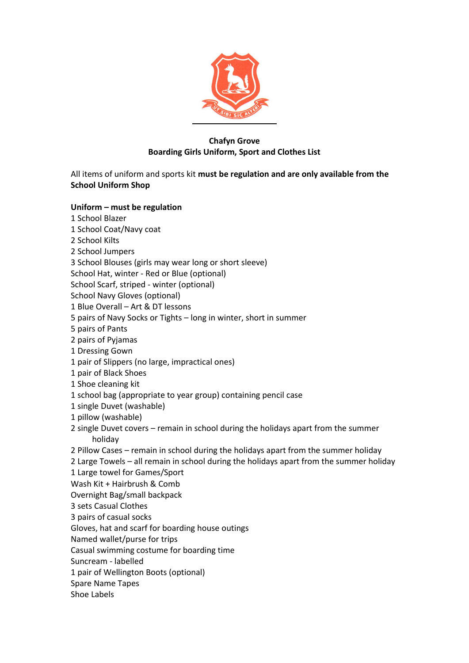

## **Chafyn Grove Boarding Girls Uniform, Sport and Clothes List**

All items of uniform and sports kit **must be regulation and are only available from the School Uniform Shop**

### **Uniform – must be regulation**

- 1 School Blazer
- 1 School Coat/Navy coat
- 2 School Kilts
- 2 School Jumpers
- 3 School Blouses (girls may wear long or short sleeve)
- School Hat, winter Red or Blue (optional)
- School Scarf, striped winter (optional)
- School Navy Gloves (optional)
- 1 Blue Overall Art & DT lessons
- 5 pairs of Navy Socks or Tights long in winter, short in summer
- 5 pairs of Pants
- 2 pairs of Pyjamas
- 1 Dressing Gown
- 1 pair of Slippers (no large, impractical ones)
- 1 pair of Black Shoes
- 1 Shoe cleaning kit
- 1 school bag (appropriate to year group) containing pencil case
- 1 single Duvet (washable)
- 1 pillow (washable)
- 2 single Duvet covers remain in school during the holidays apart from the summer holiday
- 2 Pillow Cases remain in school during the holidays apart from the summer holiday
- 2 Large Towels all remain in school during the holidays apart from the summer holiday
- 1 Large towel for Games/Sport
- Wash Kit + Hairbrush & Comb
- Overnight Bag/small backpack
- 3 sets Casual Clothes
- 3 pairs of casual socks
- Gloves, hat and scarf for boarding house outings
- Named wallet/purse for trips
- Casual swimming costume for boarding time
- Suncream labelled
- 1 pair of Wellington Boots (optional)
- Spare Name Tapes
- Shoe Labels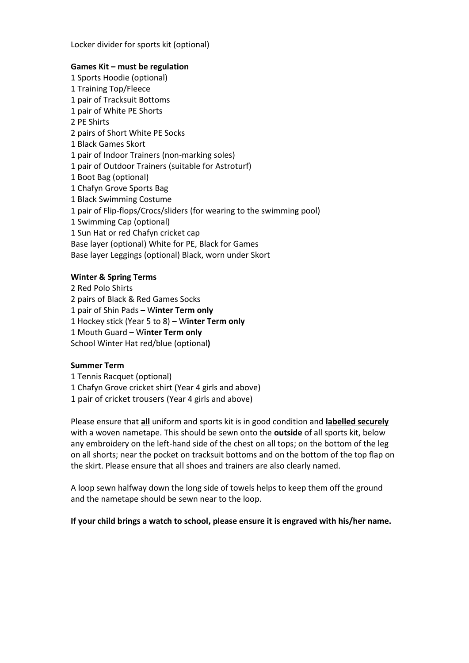Locker divider for sports kit (optional)

#### **Games Kit – must be regulation**

 Sports Hoodie (optional) Training Top/Fleece pair of Tracksuit Bottoms pair of White PE Shorts PE Shirts pairs of Short White PE Socks Black Games Skort pair of Indoor Trainers (non-marking soles) pair of Outdoor Trainers (suitable for Astroturf) Boot Bag (optional) 1 Chafyn Grove Sports Bag Black Swimming Costume pair of Flip-flops/Crocs/sliders (for wearing to the swimming pool) 1 Swimming Cap (optional) Sun Hat or red Chafyn cricket cap Base layer (optional) White for PE, Black for Games Base layer Leggings (optional) Black, worn under Skort

### **Winter & Spring Terms**

 Red Polo Shirts 2 pairs of Black & Red Games Socks pair of Shin Pads – W**inter Term only** Hockey stick (Year 5 to 8) – W**inter Term only** Mouth Guard – W**inter Term only** School Winter Hat red/blue (optional**)**

### **Summer Term**

1 Tennis Racquet (optional) 1 Chafyn Grove cricket shirt (Year 4 girls and above)

1 pair of cricket trousers (Year 4 girls and above)

Please ensure that **all** uniform and sports kit is in good condition and **labelled securely** with a woven nametape. This should be sewn onto the **outside** of all sports kit, below any embroidery on the left-hand side of the chest on all tops; on the bottom of the leg on all shorts; near the pocket on tracksuit bottoms and on the bottom of the top flap on the skirt. Please ensure that all shoes and trainers are also clearly named.

A loop sewn halfway down the long side of towels helps to keep them off the ground and the nametape should be sewn near to the loop.

**If your child brings a watch to school, please ensure it is engraved with his/her name.**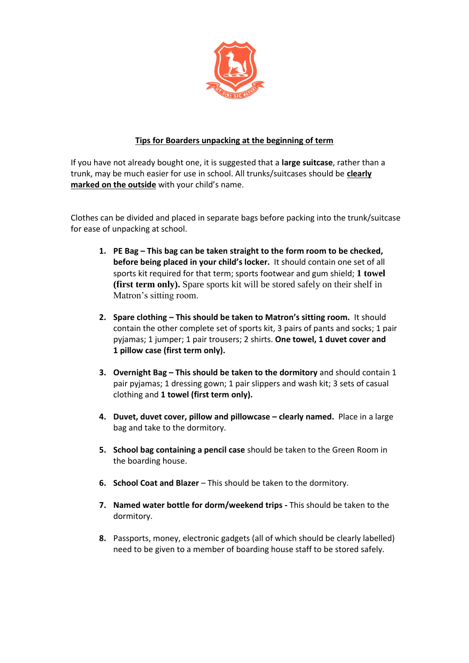

# **Tips for Boarders unpacking at the beginning of term**

If you have not already bought one, it is suggested that a **large suitcase**, rather than a trunk, may be much easier for use in school. All trunks/suitcases should be **clearly marked on the outside** with your child's name.

Clothes can be divided and placed in separate bags before packing into the trunk/suitcase for ease of unpacking at school.

- **1. PE Bag – This bag can be taken straight to the form room to be checked, before being placed in your child's locker.** It should contain one set of all sports kit required for that term; sports footwear and gum shield; **1 towel (first term only).** Spare sports kit will be stored safely on their shelf in Matron's sitting room.
- **2. Spare clothing – This should be taken to Matron's sitting room.** It should contain the other complete set of sports kit, 3 pairs of pants and socks; 1 pair pyjamas; 1 jumper; 1 pair trousers; 2 shirts. **One towel, 1 duvet cover and 1 pillow case (first term only).**
- **3. Overnight Bag – This should be taken to the dormitory** and should contain 1 pair pyjamas; 1 dressing gown; 1 pair slippers and wash kit; 3 sets of casual clothing and **1 towel (first term only).**
- **4. Duvet, duvet cover, pillow and pillowcase – clearly named.** Place in a large bag and take to the dormitory.
- **5. School bag containing a pencil case** should be taken to the Green Room in the boarding house.
- **6. School Coat and Blazer** This should be taken to the dormitory.
- **7. Named water bottle for dorm/weekend trips -** This should be taken to the dormitory.
- **8.** Passports, money, electronic gadgets (all of which should be clearly labelled) need to be given to a member of boarding house staff to be stored safely.